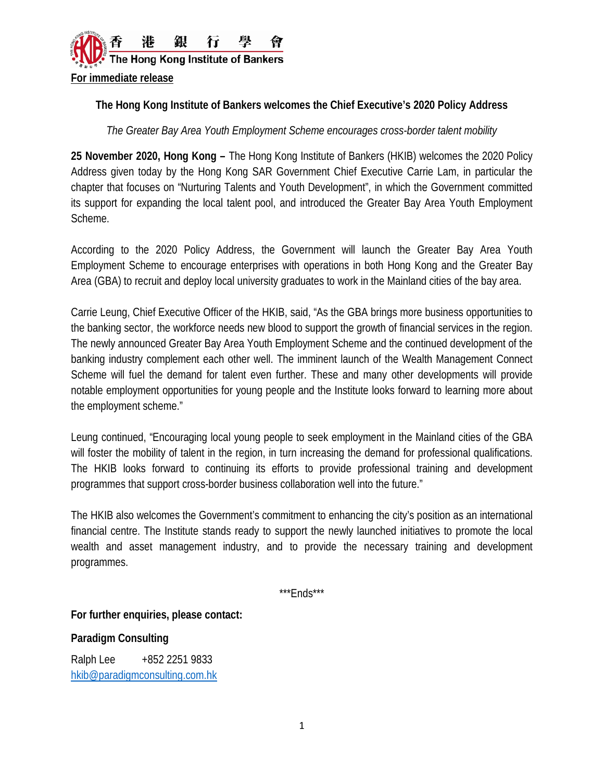

## **The Hong Kong Institute of Bankers welcomes the Chief Executive's 2020 Policy Address**

*The Greater Bay Area Youth Employment Scheme encourages cross-border talent mobility*

**25 November 2020, Hong Kong –** The Hong Kong Institute of Bankers (HKIB) welcomes the 2020 Policy Address given today by the Hong Kong SAR Government Chief Executive Carrie Lam, in particular the chapter that focuses on "Nurturing Talents and Youth Development", in which the Government committed its support for expanding the local talent pool, and introduced the Greater Bay Area Youth Employment Scheme.

According to the 2020 Policy Address, the Government will launch the Greater Bay Area Youth Employment Scheme to encourage enterprises with operations in both Hong Kong and the Greater Bay Area (GBA) to recruit and deploy local university graduates to work in the Mainland cities of the bay area.

Carrie Leung, Chief Executive Officer of the HKIB, said, "As the GBA brings more business opportunities to the banking sector, the workforce needs new blood to support the growth of financial services in the region. The newly announced Greater Bay Area Youth Employment Scheme and the continued development of the banking industry complement each other well. The imminent launch of the Wealth Management Connect Scheme will fuel the demand for talent even further. These and many other developments will provide notable employment opportunities for young people and the Institute looks forward to learning more about the employment scheme."

Leung continued, "Encouraging local young people to seek employment in the Mainland cities of the GBA will foster the mobility of talent in the region, in turn increasing the demand for professional qualifications. The HKIB looks forward to continuing its efforts to provide professional training and development programmes that support cross-border business collaboration well into the future."

The HKIB also welcomes the Government's commitment to enhancing the city's position as an international financial centre. The Institute stands ready to support the newly launched initiatives to promote the local wealth and asset management industry, and to provide the necessary training and development programmes.

\*\*\*Ends\*\*\*

**For further enquiries, please contact:**

**Paradigm Consulting**

Ralph Lee +852 2251 9833 [hkib@paradigmconsulting.com.hk](mailto:hkib@paradigmconsulting.com.hk)